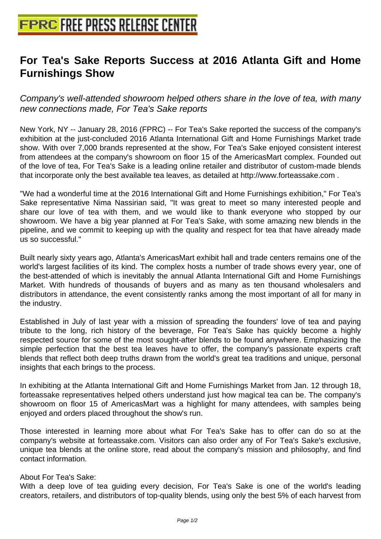## **[For Tea's Sake Reports Success](http://www.free-press-release-center.info) at 2016 Atlanta Gift and Home Furnishings Show**

Company's well-attended showroom helped others share in the love of tea, with many new connections made, For Tea's Sake reports

New York, NY -- January 28, 2016 (FPRC) -- For Tea's Sake reported the success of the company's exhibition at the just-concluded 2016 Atlanta International Gift and Home Furnishings Market trade show. With over 7,000 brands represented at the show, For Tea's Sake enjoyed consistent interest from attendees at the company's showroom on floor 15 of the AmericasMart complex. Founded out of the love of tea, For Tea's Sake is a leading online retailer and distributor of custom-made blends that incorporate only the best available tea leaves, as detailed at http://www.forteassake.com .

"We had a wonderful time at the 2016 International Gift and Home Furnishings exhibition," For Tea's Sake representative Nima Nassirian said, "It was great to meet so many interested people and share our love of tea with them, and we would like to thank everyone who stopped by our showroom. We have a big year planned at For Tea's Sake, with some amazing new blends in the pipeline, and we commit to keeping up with the quality and respect for tea that have already made us so successful."

Built nearly sixty years ago, Atlanta's AmericasMart exhibit hall and trade centers remains one of the world's largest facilities of its kind. The complex hosts a number of trade shows every year, one of the best-attended of which is inevitably the annual Atlanta International Gift and Home Furnishings Market. With hundreds of thousands of buyers and as many as ten thousand wholesalers and distributors in attendance, the event consistently ranks among the most important of all for many in the industry.

Established in July of last year with a mission of spreading the founders' love of tea and paying tribute to the long, rich history of the beverage, For Tea's Sake has quickly become a highly respected source for some of the most sought-after blends to be found anywhere. Emphasizing the simple perfection that the best tea leaves have to offer, the company's passionate experts craft blends that reflect both deep truths drawn from the world's great tea traditions and unique, personal insights that each brings to the process.

In exhibiting at the Atlanta International Gift and Home Furnishings Market from Jan. 12 through 18, forteassake representatives helped others understand just how magical tea can be. The company's showroom on floor 15 of AmericasMart was a highlight for many attendees, with samples being enjoyed and orders placed throughout the show's run.

Those interested in learning more about what For Tea's Sake has to offer can do so at the company's website at forteassake.com. Visitors can also order any of For Tea's Sake's exclusive, unique tea blends at the online store, read about the company's mission and philosophy, and find contact information.

## About For Tea's Sake:

With a deep love of tea guiding every decision, For Tea's Sake is one of the world's leading creators, retailers, and distributors of top-quality blends, using only the best 5% of each harvest from